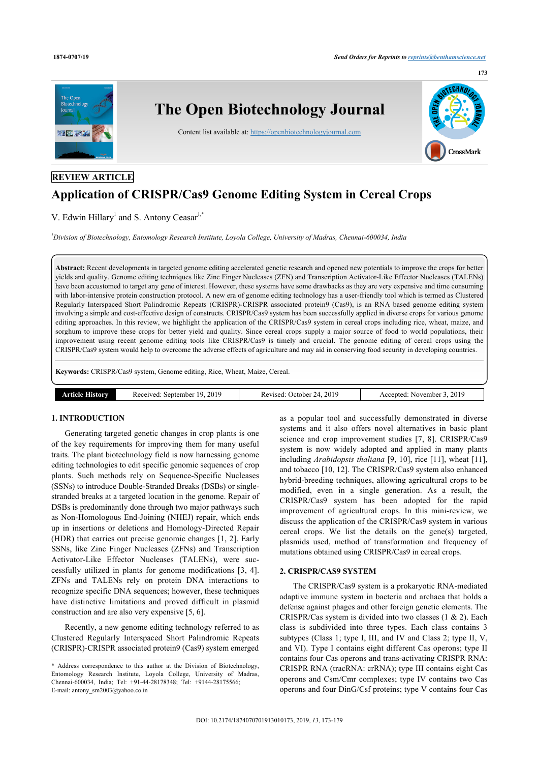

# **REVIEW ARTICLE**

# **Application of CRISPR/Cas9 Genome Editing System in Cereal Crops**

V. Edwin Hillary<sup>[1](#page-0-0)</sup> and S. Antony Ceasar<sup>1[,\\*](#page-0-1)</sup>

<span id="page-0-0"></span>*<sup>1</sup>Division of Biotechnology, Entomology Research Institute, Loyola College, University of Madras, Chennai-600034, India*

**Abstract:** Recent developments in targeted genome editing accelerated genetic research and opened new potentials to improve the crops for better yields and quality. Genome editing techniques like Zinc Finger Nucleases (ZFN) and Transcription Activator-Like Effector Nucleases (TALENs) have been accustomed to target any gene of interest. However, these systems have some drawbacks as they are very expensive and time consuming with labor-intensive protein construction protocol. A new era of genome editing technology has a user-friendly tool which is termed as Clustered Regularly Interspaced Short Palindromic Repeats (CRISPR)-CRISPR associated protein9 (Cas9), is an RNA based genome editing system involving a simple and cost-effective design of constructs. CRISPR/Cas9 system has been successfully applied in diverse crops for various genome editing approaches. In this review, we highlight the application of the CRISPR/Cas9 system in cereal crops including rice, wheat, maize, and sorghum to improve these crops for better yield and quality. Since cereal crops supply a major source of food to world populations, their improvement using recent genome editing tools like CRISPR/Cas9 is timely and crucial. The genome editing of cereal crops using the CRISPR/Cas9 system would help to overcome the adverse effects of agriculture and may aid in conserving food security in developing countries.

**Keywords:** CRISPR/Cas9 system, Genome editing, Rice, Wheat, Maize, Cereal.

| <b>201</b><br>2014<br>201.<br>september<br>November<br>History<br>enten -<br>VICPA<br>. Jefober<br>-Rev<br>, ,<br>71 J<br>$   -$<br>- - - - - -<br>__<br>$\sim$<br>. .<br>. |
|-----------------------------------------------------------------------------------------------------------------------------------------------------------------------------|
|-----------------------------------------------------------------------------------------------------------------------------------------------------------------------------|

# **1. INTRODUCTION**

Generating targeted genetic changes in crop plants is one of the key requirements for improving them for many useful traits. The plant biotechnology field is now harnessing genome editing technologies to edit specific genomic sequences of crop plants. Such methods rely on Sequence-Specific Nucleases (SSNs) to introduce Double-Stranded Breaks (DSBs) or singlestranded breaks at a targeted location in the genome. Repair of DSBs is predominantly done through two major pathways such as Non-Homologous End-Joining (NHEJ) repair, which ends up in insertions or deletions and Homology-Directed Repair (HDR) that carries out precise genomic changes [[1](#page-4-0), [2](#page-4-1)]. Early SSNs, like Zinc Finger Nucleases (ZFNs) and Transcription Activator-Like Effector Nucleases (TALENs), were successfully utilized in plants for genome modifications[[3](#page-4-2), [4\]](#page-4-3). ZFNs and TALENs rely on protein DNA interactions to recognize specific DNA sequences; however, these techniques have distinctive limitations and proved difficult in plasmid construction and are also very expensive [\[5,](#page-4-4) [6\]](#page-4-5).

Recently, a new genome editing technology referred to as Clustered Regularly Interspaced Short Palindromic Repeats (CRISPR)-CRISPR associated protein9 (Cas9) system emerged

DOI: [10.2174/1874070701913010173,](http://dx.doi.org/10.2174/1874070701913010173) 2019, *13*, 173-179

as a popular tool and successfully demonstrated in diverse systems and it also offers novel alternatives in basic plant science and crop improvement studies[[7](#page-4-6), [8](#page-4-7)]. CRISPR/Cas9 system is now widely adopted and applied in many plants including *Arabidopsis thaliana* [\[9,](#page-4-8) [10](#page-4-9)], rice [\[11\]](#page-4-10), wheat [[11](#page-4-10)], and tobacco [\[10](#page-4-9), [12](#page-4-11)]. The CRISPR/Cas9 system also enhanced hybrid-breeding techniques, allowing agricultural crops to be modified, even in a single generation. As a result, the CRISPR/Cas9 system has been adopted for the rapid improvement of agricultural crops. In this mini-review, we discuss the application of the CRISPR/Cas9 system in various cereal crops. We list the details on the gene(s) targeted, plasmids used, method of transformation and frequency of mutations obtained using CRISPR/Cas9 in cereal crops.

### **2. CRISPR/CAS9 SYSTEM**

The CRISPR/Cas9 system is a prokaryotic RNA-mediated adaptive immune system in bacteria and archaea that holds a defense against phages and other foreign genetic elements. The CRISPR/Cas system is divided into two classes (1 & 2). Each class is subdivided into three types. Each class contains 3 subtypes (Class 1; type I, III, and IV and Class 2; type II, V, and VI). Type I contains eight different Cas operons; type II contains four Cas operons and trans-activating CRISPR RNA: CRISPR RNA (tracRNA: crRNA); type III contains eight Cas operons and Csm/Cmr complexes; type IV contains two Cas operons and four DinG/Csf proteins; type V contains four Cas

**173**

<span id="page-0-1"></span><sup>\*</sup> Address correspondence to this author at the Division of Biotechnology, Entomology Research Institute, Loyola College, University of Madras, Chennai-600034, India; Tel: +91-44-28178348; Tel: +9144-28175566; E-mail: [antony\\_sm2003@yahoo.co.in](mailto:antony_sm2003@yahoo.co.in)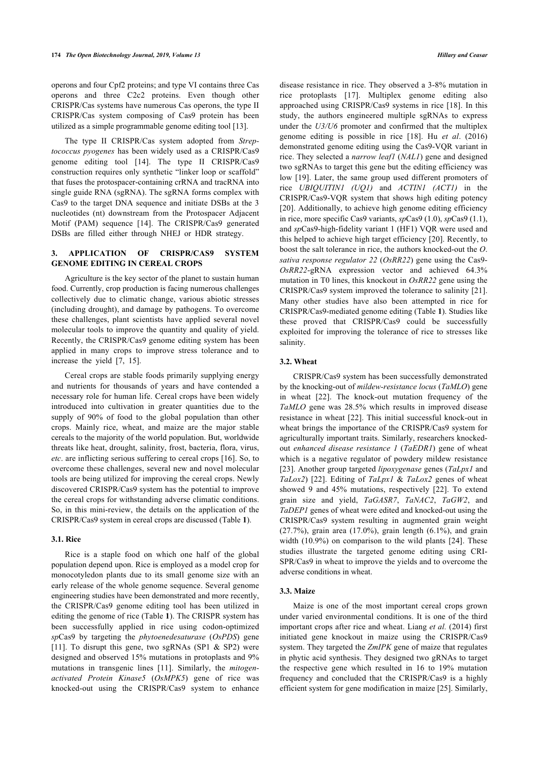operons and four Cpf2 proteins; and type VI contains three Cas operons and three C2c2 proteins. Even though other CRISPR/Cas systems have numerous Cas operons, the type II CRISPR/Cas system composing of Cas9 protein has been utilized as a simple programmable genome editing tool [\[13](#page-4-12)].

The type II CRISPR/Cas system adopted from *Streptococcus pyogenes* has been widely used as a CRISPR/Cas9 genome editing tool[[14](#page-4-13)]. The type II CRISPR/Cas9 construction requires only synthetic "linker loop or scaffold" that fuses the protospacer-containing crRNA and tracRNA into single guide RNA (sgRNA). The sgRNA forms complex with Cas9 to the target DNA sequence and initiate DSBs at the 3 nucleotides (nt) downstream from the Protospacer Adjacent Motif (PAM) sequence[[14\]](#page-4-13). The CRISPR/Cas9 generated DSBs are filled either through NHEJ or HDR strategy.

# **3. APPLICATION OF CRISPR/CAS9 SYSTEM GENOME EDITING IN CEREAL CROPS**

Agriculture is the key sector of the planet to sustain human food. Currently, crop production is facing numerous challenges collectively due to climatic change, various abiotic stresses (including drought), and damage by pathogens. To overcome these challenges, plant scientists have applied several novel molecular tools to improve the quantity and quality of yield. Recently, the CRISPR/Cas9 genome editing system has been applied in many crops to improve stress tolerance and to increase the yield[[7](#page-4-6), [15\]](#page-4-14).

Cereal crops are stable foods primarily supplying energy and nutrients for thousands of years and have contended a necessary role for human life. Cereal crops have been widely introduced into cultivation in greater quantities due to the supply of 90% of food to the global population than other crops. Mainly rice, wheat, and maize are the major stable cereals to the majority of the world population. But, worldwide threats like heat, drought, salinity, frost, bacteria, flora, virus, *etc*. are inflicting serious suffering to cereal crops [\[16\]](#page-4-15). So, to overcome these challenges, several new and novel molecular tools are being utilized for improving the cereal crops. Newly discovered CRISPR/Cas9 system has the potential to improve the cereal crops for withstanding adverse climatic conditions. So, in this mini-review, the details on the application of the CRISPR/Cas9 system in cereal crops are discussed (Table **[1](#page--1-0)**).

# **3.1. Rice**

Rice is a staple food on which one half of the global population depend upon. Rice is employed as a model crop for monocotyledon plants due to its small genome size with an early release of the whole genome sequence. Several genome engineering studies have been demonstrated and more recently, the CRISPR/Cas9 genome editing tool has been utilized in editing the genome of rice (Table **[1](#page--1-0)**). The CRISPR system has been successfully applied in rice using codon-optimized *sp*Cas9 by targeting the *phytoenedesaturase* (*OsPDS*) gene [[11\]](#page-4-10). To disrupt this gene, two sgRNAs (SP1 & SP2) were designed and observed 15% mutations in protoplasts and 9% mutations in transgenic lines [\[11](#page-4-10)]. Similarly, the *mitogenactivated Protein Kinase5* (*OsMPK5*) gene of rice was knocked-out using the CRISPR/Cas9 system to enhance

disease resistance in rice. They observed a 3-8% mutation in rice protoplasts[[17\]](#page-4-16). Multiplex genome editing also approached using CRISPR/Cas9 systems in rice [[18\]](#page-4-17). In this study, the authors engineered multiple sgRNAs to express under the *U3/U6* promoter and confirmed that the multiplex genome editing is possible in rice[[18](#page-4-17)]. Hu *et al*. (2016) demonstrated genome editing using the Cas9-VQR variant in rice. They selected a *narrow leaf1* (*NAL1*) gene and designed two sgRNAs to target this gene but the editing efficiency was low [\[19](#page-4-18)]. Later, the same group used different promoters of rice *UBIQUITIN1 (UQ1)* and *ACTIN1 (ACT1)* in the CRISPR/Cas9-VQR system that shows high editing potency [[20](#page-5-0)]. Additionally, to achieve high genome editing efficiency in rice, more specific Cas9 variants, *sp*Cas9 (1.0), *sp*Cas9 (1.1), and *sp*Cas9-high-fidelity variant 1 (HF1) VQR were used and this helped to achieve high target efficiency [[20](#page-5-0)]. Recently, to boost the salt tolerance in rice, the authors knocked-out the *O*. *sativa response regulator 22* (*OsRR22*) gene using the Cas9- *OsRR22*-gRNA expression vector and achieved 64.3% mutation in T0 lines, this knockout in *OsRR22* gene using the CRISPR/Cas9 system improved the tolerance to salinity [[21](#page-5-1)]. Many other studies have also been attempted in rice for CRISPR/Cas9-mediated genome editing (Table **[1](#page--1-0)**). Studies like these proved that CRISPR/Cas9 could be successfully exploited for improving the tolerance of rice to stresses like salinity.

# **3.2. Wheat**

CRISPR/Cas9 system has been successfully demonstrated by the knocking-out of *mildew-resistance locus* (*TaMLO*) gene in wheat[[22](#page-5-2)]. The knock-out mutation frequency of the *TaMLO* gene was 28.5% which results in improved disease resistance in wheat [\[22\]](#page-5-2). This initial successful knock-out in wheat brings the importance of the CRISPR/Cas9 system for agriculturally important traits. Similarly, researchers knockedout *enhanced disease resistance 1* (*TaEDR1*) gene of wheat which is a negative regulator of powdery mildew resistance [[23](#page-5-3)]. Another group targeted *lipoxygenase* genes (*TaLpx1* and *TaLox2*)[[22](#page-5-2)]. Editing of *TaLpx1* & *TaLox2* genes of wheat showed 9 and 45% mutations, respectively[[22\]](#page-5-2). To extend grain size and yield, *TaGASR7*, *TaNAC2*, *TaGW2*, and *TaDEP1* genes of wheat were edited and knocked-out using the CRISPR/Cas9 system resulting in augmented grain weight  $(27.7%)$ , grain area  $(17.0%)$ , grain length  $(6.1%)$ , and grain width (10.9%) on comparison to the wild plants [[24\]](#page-5-4). These studies illustrate the targeted genome editing using CRI-SPR/Cas9 in wheat to improve the yields and to overcome the adverse conditions in wheat.

### **3.3. Maize**

Maize is one of the most important cereal crops grown under varied environmental conditions. It is one of the third important crops after rice and wheat. Liang *et al.* (2014) first initiated gene knockout in maize using the CRISPR/Cas9 system. They targeted the *ZmIPK* gene of maize that regulates in phytic acid synthesis. They designed two gRNAs to target the respective gene which resulted in 16 to 19% mutation frequency and concluded that the CRISPR/Cas9 is a highly efficient system for gene modification in maize [[25](#page-5-5)]. Similarly,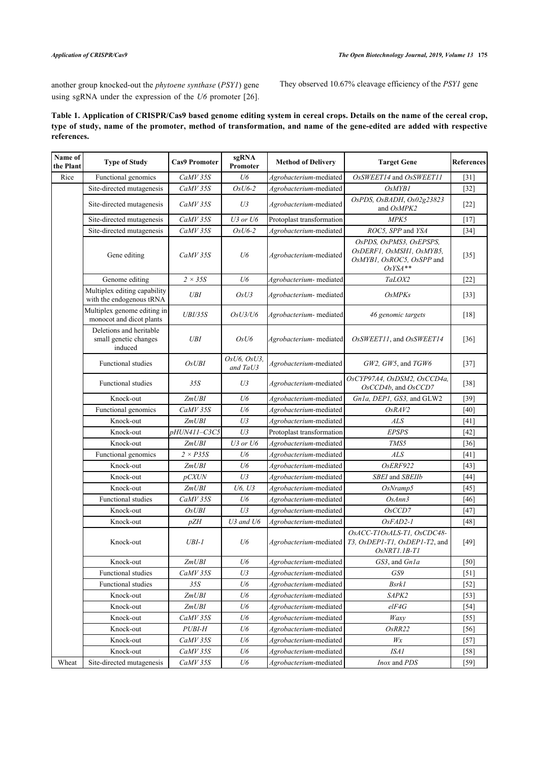another group knocked-out the *phytoene synthase* (*PSY1*) gene using sgRNA under the expression of the *U6* promoter [[26](#page-5-6)]. They observed 10.67% cleavage efficiency of the *PSY1* gene

# **Table 1. Application of CRISPR/Cas9 based genome editing system in cereal crops. Details on the name of the cereal crop, type of study, name of the promoter, method of transformation, and name of the gene-edited are added with respective references.**

| Name of<br>the Plant | <b>Type of Study</b>                                        | <b>Cas9 Promoter</b> | sgRNA<br>Promoter       | <b>Method of Delivery</b> | <b>Target Gene</b>                                                                            | <b>References</b>  |
|----------------------|-------------------------------------------------------------|----------------------|-------------------------|---------------------------|-----------------------------------------------------------------------------------------------|--------------------|
| Rice                 | Functional genomics                                         | $CaMV$ 35 $S$        | U6                      | Agrobacterium-mediated    | OsSWEET14 and OsSWEET11                                                                       | $[31]$             |
|                      | Site-directed mutagenesis                                   | CaMV 35S             | $OsU6-2$                | Agrobacterium-mediated    | OsMYB1                                                                                        | $[32]$             |
|                      | Site-directed mutagenesis                                   | $CaMV$ 35 $S$        | U3                      | Agrobacterium-mediated    | OsPDS, OsBADH, Os02g23823<br>and OsMPK2                                                       | $[22]$             |
|                      | Site-directed mutagenesis                                   | CaMV 35S             | $U3$ or $U6$            | Protoplast transformation | MPK5                                                                                          | $[17]$             |
|                      | Site-directed mutagenesis                                   | CaMV 35S             | $OsU6-2$                | Agrobacterium-mediated    | ROC5, SPP and YSA                                                                             | $[34]$             |
|                      | Gene editing                                                | CaMV 35S             | U6                      | Agrobacterium-mediated    | OsPDS, OsPMS3, OsEPSPS,<br>OsDERF1, OsMSH1, OsMYB5,<br>OsMYB1, OsROC5, OsSPP and<br>$OsYSA**$ | $[35]$             |
|                      | Genome editing                                              | $2 \times 35S$       | U6                      | Agrobacterium- mediated   | TaLOX2                                                                                        | $\lceil 22 \rceil$ |
|                      | Multiplex editing capability<br>with the endogenous tRNA    | <b>UBI</b>           | OsU3                    | Agrobacterium- mediated   | <b>OsMPKs</b>                                                                                 | $[33]$             |
|                      | Multiplex genome editing in<br>monocot and dicot plants     | <b>UBI/35S</b>       | OsU3/U6                 | Agrobacterium- mediated   | 46 genomic targets                                                                            | $[18]$             |
|                      | Deletions and heritable<br>small genetic changes<br>induced | <b>UBI</b>           | OsU6                    | Agrobacterium- mediated   | OsSWEET11, and OsSWEET14                                                                      | $[36]$             |
|                      | <b>Functional studies</b>                                   | OsUBI                | OsU6, OsU3,<br>and TaU3 | Agrobacterium-mediated    | $GW2$ , $GW5$ , and $TGW6$                                                                    | $[37]$             |
|                      | <b>Functional studies</b>                                   | 35S                  | U3                      | Agrobacterium-mediated    | OsCYP97A4, OsDSM2, OsCCD4a,<br>OsCCD4b, and OsCCD7                                            | $[38]$             |
|                      | Knock-out                                                   | ZmUBI                | U6                      | Agrobacterium-mediated    | Gn1a, DEP1, GS3, and GLW2                                                                     | $[39]$             |
|                      | Functional genomics                                         | CaMV 35S             | U6                      | Agrobacterium-mediated    | OsRAV2                                                                                        | $[40]$             |
|                      | Knock-out                                                   | ZmUBI                | U3                      | Agrobacterium-mediated    | <b>ALS</b>                                                                                    | $[41]$             |
|                      | Knock-out                                                   | pHUN411-C3C5         | U3                      | Protoplast transformation | <b>EPSPS</b>                                                                                  | $[42]$             |
|                      | Knock-out                                                   | ZmUBI                | $U3$ or $U6$            | Agrobacterium-mediated    | TMS5                                                                                          | $[36]$             |
|                      | Functional genomics                                         | $2 \times P35S$      | U6                      | Agrobacterium-mediated    | <b>ALS</b>                                                                                    | $[41]$             |
|                      | Knock-out                                                   | ZmUBI                | U6                      | Agrobacterium-mediated    | OsERF922                                                                                      | $[43]$             |
|                      | Knock-out                                                   | <i>pCXUN</i>         | U3                      | Agrobacterium-mediated    | SBEI and SBEIIb                                                                               | $[44]$             |
|                      | Knock-out                                                   | ZmUBI                | U6, U3                  | Agrobacterium-mediated    | OsNramp5                                                                                      | $[45]$             |
|                      | <b>Functional studies</b>                                   | CaMV 35S             | U6                      | Agrobacterium-mediated    | OsAnn3                                                                                        | $[46]$             |
|                      | Knock-out                                                   | OsUBI                | U3                      | Agrobacterium-mediated    | OsCCD7                                                                                        | $[47]$             |
|                      | Knock-out                                                   | pZH                  | U3 and U6               | Agrobacterium-mediated    | OsFAD2-1                                                                                      | [48]               |
|                      | Knock-out                                                   | $UBI-I$              | U6                      | Agrobacterium-mediated    | OsACC-T1OsALS-T1, OsCDC48-<br>T3, OsDEP1-T1, OsDEP1-T2, and<br>$OsNRT1.1B-T1$                 | $[49]$             |
|                      | Knock-out                                                   | <i>ZmUBI</i>         | U6                      | Agrobacterium-mediated    | GS3, and Gn1a                                                                                 | [50]               |
|                      | Functional studies                                          | CaMV 35S             | U3                      | Agrobacterium-mediated    | GS9                                                                                           | $[51]$             |
|                      | <b>Functional studies</b>                                   | 35S                  | U6                      | Agrobacterium-mediated    | <b>Bsrk1</b>                                                                                  | $[52]$             |
|                      | Knock-out                                                   | ZmUBI                | U6                      | Agrobacterium-mediated    | SAPK2                                                                                         | $[53]$             |
|                      | Knock-out                                                   | ZmUBI                | U6                      | Agrobacterium-mediated    | elF4G                                                                                         | $[54]$             |
|                      | Knock-out                                                   | CaMV 35S             | U6                      | Agrobacterium-mediated    | Waxy                                                                                          | $[55]$             |
|                      | Knock-out                                                   | $PUBI-H$             | U6                      | Agrobacterium-mediated    | OsRR22                                                                                        | [56]               |
|                      | Knock-out                                                   | $CaMV$ 35 $S$        | $U\!6$                  | Agrobacterium-mediated    | Wx                                                                                            | $[57]$             |
|                      | Knock-out                                                   | $CaMV$ 35 $S$        | U6                      | Agrobacterium-mediated    | ISA1                                                                                          | $[58]$             |
| Wheat                | Site-directed mutagenesis                                   | CaMV 35S             | U6                      | Agrobacterium-mediated    | Inox and PDS                                                                                  | $[59]$             |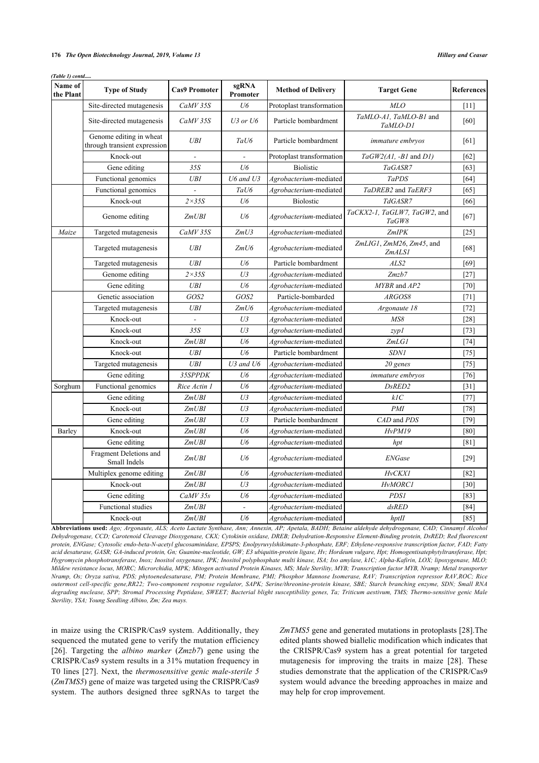#### **176** *The Open Biotechnology Journal, 2019, Volume 13 Hillary and Ceasar*

*(Table 1) contd.....*

| Name of<br>the Plant | <b>Type of Study</b>                                    | <b>Cas9 Promoter</b> | sgRNA<br>Promoter | <b>Method of Delivery</b> | <b>Target Gene</b>                    | <b>References</b> |
|----------------------|---------------------------------------------------------|----------------------|-------------------|---------------------------|---------------------------------------|-------------------|
|                      | Site-directed mutagenesis                               | CaMV 35S             | U6                | Protoplast transformation | MLO                                   | [11]              |
|                      | Site-directed mutagenesis                               | CaMV 35S             | $U3$ or $U6$      | Particle bombardment      | TaMLO-A1, TaMLO-B1 and<br>TaMLO-D1    | [60]              |
|                      | Genome editing in wheat<br>through transient expression | <b>UBI</b>           | TaU6              | Particle bombardment      | immature embryos                      | [61]              |
|                      | Knock-out                                               |                      |                   | Protoplast transformation | $TaGW2(A1, -B1 \text{ and } DI)$      | [62]              |
|                      | Gene editing                                            | 35S                  | $U\delta$         | <b>Biolistic</b>          | TaGASR7                               | [63]              |
|                      | Functional genomics                                     | <b>UBI</b>           | U6 and U3         | Agrobacterium-mediated    | <b>TaPDS</b>                          | [64]              |
|                      | Functional genomics                                     | $\overline{a}$       | TaU6              | Agrobacterium-mediated    | TaDREB2 and TaERF3                    | [65]              |
|                      | Knock-out                                               | $2\times 35S$        | U6                | <b>Biolostic</b>          | TdGASR7                               | [66]              |
|                      | Genome editing                                          | ZmUBI                | U6                | Agrobacterium-mediated    | TaCKX2-1, TaGLW7, TaGW2, and<br>TaGW8 | [67]              |
| Maize                | Targeted mutagenesis                                    | CaMV 35S             | ZmU3              | Agrobacterium-mediated    | ZmIPK                                 | $[25]$            |
|                      | Targeted mutagenesis                                    | <b>UBI</b>           | ZmU6              | Agrobacterium-mediated    | ZmLIG1, ZmM26, Zm45, and<br>ZmALSI    | [68]              |
|                      | Targeted mutagenesis                                    | <b>UBI</b>           | U6                | Particle bombardment      | ALS2                                  | [69]              |
|                      | Genome editing                                          | $2\times35S$         | U <sub>3</sub>    | Agrobacterium-mediated    | Zmzb7                                 | $[27]$            |
|                      | Gene editing                                            | <b>UBI</b>           | U6                | Agrobacterium-mediated    | MYBR and AP2                          | $[70]$            |
|                      | Genetic association                                     | GOS2                 | GOS2              | Particle-bombarded        | ARGOS8                                | [71]              |
|                      | Targeted mutagenesis                                    | <b>UBI</b>           | ZmU6              | Agrobacterium-mediated    | Argonaute 18                          | $[72]$            |
|                      | Knock-out                                               |                      | U3                | Agrobacterium-mediated    | MSS                                   | $[28]$            |
|                      | Knock-out                                               | 35S                  | U3                | Agrobacterium-mediated    | zyp1                                  | $[73]$            |
|                      | Knock-out                                               | ZmUBI                | U6                | Agrobacterium-mediated    | ZmLGI                                 | [74]              |
|                      | Knock-out                                               | UBI                  | U/6               | Particle bombardment      | <b>SDN1</b>                           | $[75]$            |
|                      | Targeted mutagenesis                                    | <b>UBI</b>           | $U3$ and $U6$     | Agrobacterium-mediated    | 20 genes                              | $[75]$            |
|                      | Gene editing                                            | 35SPPDK              | U6                | Agrobacterium-mediated    | immature embryos                      | $[76]$            |
| Sorghum              | Functional genomics                                     | Rice Actin 1         | U6                | Agrobacterium-mediated    | DsRED <sub>2</sub>                    | $[31]$            |
|                      | Gene editing                                            | ZmUBI                | U <sub>3</sub>    | Agrobacterium-mediated    | kIC                                   | $[77]$            |
|                      | Knock-out                                               | ZmUBI                | U3                | Agrobacterium-mediated    | PMI                                   | $[78]$            |
|                      | Gene editing                                            | ZmUBI                | U3                | Particle bombardment      | CAD and PDS                           | $[79]$            |
| Barley               | Knock-out                                               | ZmUBI                | U6                | Agrobacterium-mediated    | <b>HvPM19</b>                         | [80]              |
|                      | Gene editing                                            | ZmUBI                | $U\delta$         | Agrobacterium-mediated    | hpt                                   | [81]              |
|                      | Fragment Deletions and<br>Small Indels                  | ZmUBI                | U6                | Agrobacterium-mediated    | <b>ENGase</b>                         | $[29]$            |
|                      | Multiplex genome editing                                | ZmUBI                | U6                | Agrobacterium-mediated    | <b>HvCKX1</b>                         | $[82]$            |
|                      | Knock-out                                               | ZmUBI                | U3                | Agrobacterium-mediated    | <b>HvMORC1</b>                        | $[30]$            |
|                      | Gene editing                                            | $CaMV$ 35 $s$        | U6                | Agrobacterium-mediated    | <b>PDS1</b>                           | $[83]$            |
|                      | Functional studies                                      | ZmUBI                |                   | Agrobacterium-mediated    | dsRED                                 | [84]              |
|                      | Knock-out                                               | <b>ZmUBI</b>         | U6                | Agrobacterium-mediated    | hptH                                  | [85]              |

**Abbreviations used:** *Ago; Argonaute, ALS; Aceto Lactate Synthase, Ann; Annexin, AP; Apetala, BADH; Betaine aldehyde dehydrogenase, CAD; Cinnamyl Alcohol Dehydrogenase, CCD; Carotenoid Cleavage Dioxygenase, CKX; Cytokinin oxidase, DREB; Dehydration-Responsive Element-Binding protein, DsRED; Red fluorescent protein, ENGase; Cytosolic endo-beta-N-acetyl glucosaminidase, EPSPS; Enolpyruvylshikimate-3-phosphate, ERF; Ethylene-responsive transcription factor, FAD; Fatty acid desaturase, GASR; GA-induced protein, Gn; Guanine-nucleotide, GW; E3 ubiquitin-protein ligase, Hv; Hordeum vulgare, Hpt; Homogentisatephytyltransferase, Hpt; Hygromycin phosphotransferase, Inox; Inositol oxygenase, IPK; Inositol polyphosphate multi kinase, ISA; Iso amylase, k1C; Alpha-Kafirin, LOX; lipoxygenase, MLO; Mildew resistance locus, MORC; Microrchidia, MPK; Mitogen activated Protein Kinases, MS; Male Sterility, MYB; Transcription factor MYB, Nramp; Metal transporter Nramp, Os; Oryza sativa, PDS; phytoenedesaturase, PM; Protein Membrane, PMI; Phosphor Mannose Isomerase, RAV; Transcription repressor RAV,ROC; Rice outermost cell-specific gene,RR22; Two-component response regulator, SAPK; Serine/threonine-protein kinase, SBE; Starch branching enzyme, SDN; Small RNA degrading nuclease, SPP; Stromal Processing Peptidase, SWEET; Bacterial blight susceptibility genes, Ta; Triticum aestivum, TMS; Thermo-sensitive genic Male Sterility, YSA; Young Seedling Albino, Zm; Zea mays.*

in maize using the CRISPR/Cas9 system. Additionally, they sequenced the mutated gene to verify the mutation efficiency [[26\]](#page-5-6). Targeting the *albino marker* (*Zmzb7*) gene using the CRISPR/Cas9 system results in a 31% mutation frequency in T0 lines [[27](#page-5-33)]. Next, the *thermosensitive genic male-sterile 5* (*ZmTMS5*) gene of maize was targeted using the CRISPR/Cas9 system. The authors designed three sgRNAs to target the

*ZmTMS5* gene and generated mutations in protoplasts [\[28](#page-5-34)].The edited plants showed biallelic modification which indicates that the CRISPR/Cas9 system has a great potential for targeted mutagenesis for improving the traits in maize[[28\]](#page-5-34). These studies demonstrate that the application of the CRISPR/Cas9 system would advance the breeding approaches in maize and may help for crop improvement.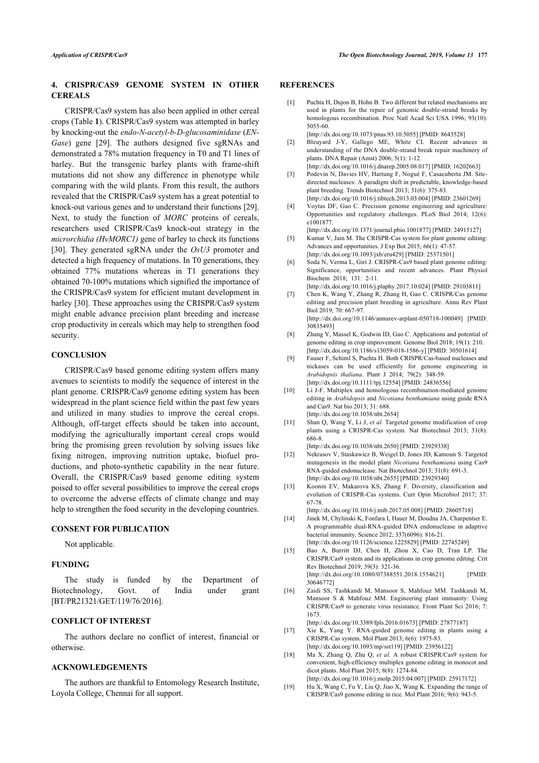# **4. CRISPR/CAS9 GENOME SYSTEM IN OTHER CEREALS**

<span id="page-4-3"></span><span id="page-4-2"></span><span id="page-4-1"></span><span id="page-4-0"></span>CRISPR/Cas9 system has also been applied in other cereal crops (Table **1**). CRISPR/Cas9 system was attempted in barley by knocking-out the *endo-N-acetyl-b-D-glucosaminidase* (*EN-Gase*) gene[[29](#page-5-35)]. The authors designed five sgRNAs and demonstrated a 78% mutation frequency in T0 and T1 lines of barley. But the transgenic barley plants with frame-shift mutations did not show any difference in phenotype while comparing with the wild plants. From this result, the authors revealed that the CRISPR/Cas9 system has a great potential to knock-out various genes and to understand their functions [\[29](#page-5-35)]. Next, to study the function of *MORC* proteins of cereals, researchers used CRISPR/Cas9 knock-out strategy in the *microrchidia (HvMORC1)* gene of barley to check its functions [[30\]](#page-5-36). They generated sgRNA under the *OsU3* promoter and detected a high frequency of mutations. In T0 generations, they obtained 77% mutations whereas in T1 generations they obtained 70-100% mutations which signified the importance of the CRISPR/Cas9 system for efficient mutant development in barley [\[30](#page-5-36)]. These approaches using the CRISPR/Cas9 system might enable advance precision plant breeding and increase crop productivity in cereals which may help to strengthen food security.

### <span id="page-4-8"></span><span id="page-4-7"></span><span id="page-4-6"></span><span id="page-4-5"></span><span id="page-4-4"></span>**CONCLUSION**

<span id="page-4-10"></span><span id="page-4-9"></span>CRISPR/Cas9 based genome editing system offers many avenues to scientists to modify the sequence of interest in the plant genome. CRISPR/Cas9 genome editing system has been widespread in the plant science field within the past few years and utilized in many studies to improve the cereal crops. Although, off-target effects should be taken into account, modifying the agriculturally important cereal crops would bring the promising green revolution by solving issues like fixing nitrogen, improving nutrition uptake, biofuel productions, and photo-synthetic capability in the near future. Overall, the CRISPR/Cas9 based genome editing system poised to offer several possibilities to improve the cereal crops to overcome the adverse effects of climate change and may help to strengthen the food security in the developing countries.

# <span id="page-4-13"></span><span id="page-4-12"></span><span id="page-4-11"></span>**CONSENT FOR PUBLICATION**

Not applicable.

### <span id="page-4-14"></span>**FUNDING**

<span id="page-4-15"></span>The study is funded by the Department of Biotechnology, Govt. of India under grant [BT/PR21321/GET/119/76/2016].

# **CONFLICT OF INTEREST**

<span id="page-4-16"></span>The authors declare no conflict of interest, financial or otherwise.

### <span id="page-4-17"></span>**ACKNOWLEDGEMENTS**

<span id="page-4-18"></span>The authors are thankful to Entomology Research Institute, Loyola College, Chennai for all support.

# **REFERENCES**

[1] Puchta H, Dujon B, Hohn B, Two different but related mechanisms are used in plants for the repair of genomic double-strand breaks by homologous recombination. Proc Natl Acad Sci USA 1996; 93(10): 5055-60.

[\[http://dx.doi.org/10.1073/pnas.93.10.5055\]](http://dx.doi.org/10.1073/pnas.93.10.5055) [PMID: [8643528\]](http://www.ncbi.nlm.nih.gov/pubmed/8643528)

- [2] Bleuyard J-Y, Gallego ME, White CI. Recent advances in understanding of the DNA double-strand break repair machinery of plants. DNA Repair (Amst) 2006; 5(1): 1-12. [\[http://dx.doi.org/10.1016/j.dnarep.2005.08.017\]](http://dx.doi.org/10.1016/j.dnarep.2005.08.017) [PMID: [16202663\]](http://www.ncbi.nlm.nih.gov/pubmed/16202663)
- [3] Podevin N, Davies HV, Hartung F, Nogué F, Casacuberta JM. Sitedirected nucleases: A paradigm shift in predictable, knowledge-based plant breeding. Trends Biotechnol 2013; 31(6): 375-83. [\[http://dx.doi.org/10.1016/j.tibtech.2013.03.004\]](http://dx.doi.org/10.1016/j.tibtech.2013.03.004) [PMID: [23601269\]](http://www.ncbi.nlm.nih.gov/pubmed/23601269)
- [4] Voytas DF, Gao C. Precision genome engineering and agriculture: Opportunities and regulatory challenges. PLoS Biol 2014; 12(6): e1001877.

[\[http://dx.doi.org/10.1371/journal.pbio.1001877\]](http://dx.doi.org/10.1371/journal.pbio.1001877) [PMID: [24915127](http://www.ncbi.nlm.nih.gov/pubmed/24915127)]

- [5] Kumar V, Jain M. The CRISPR-Cas system for plant genome editing: Advances and opportunities. J Exp Bot 2015; 66(1): 47-57. [\[http://dx.doi.org/10.1093/jxb/eru429\]](http://dx.doi.org/10.1093/jxb/eru429) [PMID: [25371501](http://www.ncbi.nlm.nih.gov/pubmed/25371501)]
- [6] Soda N, Verma L, Giri J. CRISPR-Cas9 based plant genome editing: Significance, opportunities and recent advances. Plant Physiol Biochem 2018; 131: 2-11.

[\[http://dx.doi.org/10.1016/j.plaphy.2017.10.024\]](http://dx.doi.org/10.1016/j.plaphy.2017.10.024) [PMID: [29103811\]](http://www.ncbi.nlm.nih.gov/pubmed/29103811) [7] Chen K, Wang Y, Zhang R, Zhang H, Gao C. CRISPR/Cas genome

editing and precision plant breeding in agriculture. Annu Rev Plant Biol 2019; 70: 667-97.

[\[http://dx.doi.org/10.1146/annurev-arplant-050718-100049\]](http://dx.doi.org/10.1146/annurev-arplant-050718-100049) [PMID: [30835493\]](http://www.ncbi.nlm.nih.gov/pubmed/30835493)

- [8] Zhang Y, Massel K, Godwin ID, Gao C. Applications and potential of genome editing in crop improvement. Genome Biol 2018; 19(1): 210. [\[http://dx.doi.org/10.1186/s13059-018-1586-y\]](http://dx.doi.org/10.1186/s13059-018-1586-y) [PMID: [30501614](http://www.ncbi.nlm.nih.gov/pubmed/30501614)]
- [9] Fauser F, Schiml S, Puchta H. Both CRISPR/Cas-based nucleases and nickases can be used efficiently for genome engineering in *Arabidopsis thaliana*. Plant J 2014; 79(2): 348-59. [\[http://dx.doi.org/10.1111/tpj.12554](http://dx.doi.org/10.1111/tpj.12554)] [PMID: [24836556\]](http://www.ncbi.nlm.nih.gov/pubmed/24836556)
- [10] Li J-F. Multiplex and homologous recombination-mediated genome editing in *Arabidopsis* and *Nicotiana benthamiana* using guide RNA and Cas9. Nat bio 2013; 31: 688. [\[http://dx.doi.org/10.1038/nbt.2654](http://dx.doi.org/10.1038/nbt.2654)]
- [11] Shan Q, Wang Y, Li J, *et al.* Targeted genome modification of crop plants using a CRISPR-Cas system. Nat Biotechnol 2013; 31(8): 686-8.

[\[http://dx.doi.org/10.1038/nbt.2650](http://dx.doi.org/10.1038/nbt.2650)] [PMID: [23929338\]](http://www.ncbi.nlm.nih.gov/pubmed/23929338) [12] Nekrasov V, Staskawicz B, Weigel D, Jones JD, Kamoun S. Targeted mutagenesis in the model plant *Nicotiana benthamiana* using Cas9 RNA-guided endonuclease. Nat Biotechnol 2013; 31(8): 691-3. [\[http://dx.doi.org/10.1038/nbt.2655](http://dx.doi.org/10.1038/nbt.2655)] [PMID: [23929340\]](http://www.ncbi.nlm.nih.gov/pubmed/23929340)

[13] Koonin EV, Makarova KS, Zhang F. Diversity, classification and evolution of CRISPR-Cas systems. Curr Opin Microbiol 2017; 37: 67-78.

[\[http://dx.doi.org/10.1016/j.mib.2017.05.008\]](http://dx.doi.org/10.1016/j.mib.2017.05.008) [PMID: [28605718](http://www.ncbi.nlm.nih.gov/pubmed/28605718)]

- [14] Jinek M, Chylinski K, Fonfara I, Hauer M, Doudna JA, Charpentier E. A programmable dual-RNA-guided DNA endonuclease in adaptive bacterial immunity. Science 2012; 337(6096): 816-21. [\[http://dx.doi.org/10.1126/science.1225829](http://dx.doi.org/10.1126/science.1225829)] [PMID: [22745249\]](http://www.ncbi.nlm.nih.gov/pubmed/22745249)
- [15] Bao A, Burritt DJ, Chen H, Zhou X, Cao D, Tran LP. The CRISPR/Cas9 system and its applications in crop genome editing. Crit Rev Biotechnol 2019; 39(3): 321-36. [\[http://dx.doi.org/10.1080/07388551.2018.1554621](http://dx.doi.org/10.1080/07388551.2018.1554621)] [PMID: [30646772\]](http://www.ncbi.nlm.nih.gov/pubmed/30646772)
- [16] Zaidi SS, Tashkandi M, Mansoor S, Mahfouz MM. Tashkandi M, Mansoor S & Mahfouz MM. Engineering plant immunity: Using CRISPR/Cas9 to generate virus resistance. Front Plant Sci 2016; 7: 1673.

[\[http://dx.doi.org/10.3389/fpls.2016.01673\]](http://dx.doi.org/10.3389/fpls.2016.01673) [PMID: [27877187\]](http://www.ncbi.nlm.nih.gov/pubmed/27877187) [17] Xie K, Yang Y. RNA-guided genome editing in plants using a

- CRISPR-Cas system. Mol Plant 2013; 6(6): 1975-83. [\[http://dx.doi.org/10.1093/mp/sst119](http://dx.doi.org/10.1093/mp/sst119)] [PMID: [23956122\]](http://www.ncbi.nlm.nih.gov/pubmed/23956122)
- [18] Ma X, Zhang Q, Zhu Q, *et al.* A robust CRISPR/Cas9 system for convenient, high-efficiency multiplex genome editing in monocot and dicot plants. Mol Plant 2015; 8(8): 1274-84. [\[http://dx.doi.org/10.1016/j.molp.2015.04.007](http://dx.doi.org/10.1016/j.molp.2015.04.007)] [PMID: [25917172\]](http://www.ncbi.nlm.nih.gov/pubmed/25917172)
- [19] Hu X, Wang C, Fu Y, Liu Q, Jiao X, Wang K. Expanding the range of CRISPR/Cas9 genome editing in rice. Mol Plant 2016; 9(6): 943-5.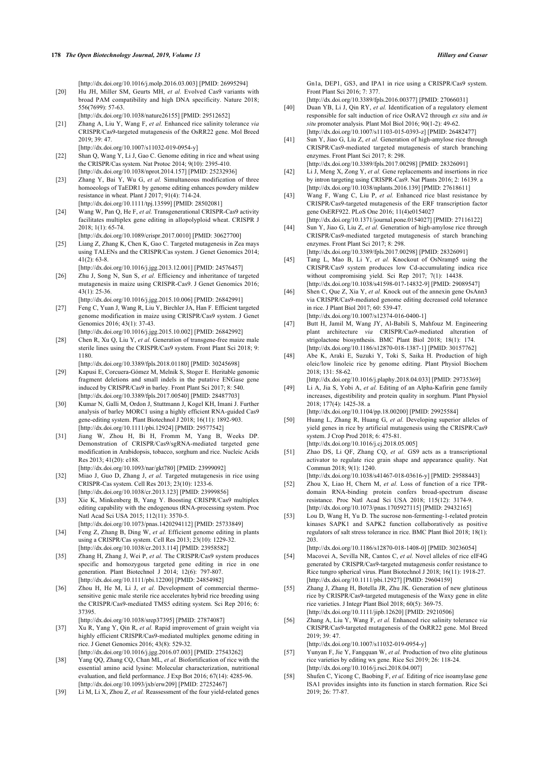[\[http://dx.doi.org/10.1016/j.molp.2016.03.003](http://dx.doi.org/10.1016/j.molp.2016.03.003)] [PMID: [26995294\]](http://www.ncbi.nlm.nih.gov/pubmed/26995294)

- <span id="page-5-0"></span>[20] Hu JH, Miller SM, Geurts MH, et al. Evolved Cas9 variants with broad PAM compatibility and high DNA specificity. Nature 2018; 556(7699): 57-63. [\[http://dx.doi.org/10.1038/nature26155](http://dx.doi.org/10.1038/nature26155)] [PMID: [29512652\]](http://www.ncbi.nlm.nih.gov/pubmed/29512652)
- <span id="page-5-16"></span><span id="page-5-1"></span>[21] Zhang A, Liu Y, Wang F, *et al.* Enhanced rice salinity tolerance *via* CRISPR/Cas9-targeted mutagenesis of the OsRR22 gene. Mol Breed 2019; 39: 47.
- <span id="page-5-17"></span>[\[http://dx.doi.org/10.1007/s11032-019-0954-y](http://dx.doi.org/10.1007/s11032-019-0954-y)]
- <span id="page-5-2"></span>[22] Shan O, Wang Y, Li J, Gao C, Genome editing in rice and wheat using the CRISPR/Cas system. Nat Protoc 2014; 9(10): 2395-410. [\[http://dx.doi.org/10.1038/nprot.2014.157\]](http://dx.doi.org/10.1038/nprot.2014.157) [PMID: [25232936\]](http://www.ncbi.nlm.nih.gov/pubmed/25232936)
- <span id="page-5-18"></span><span id="page-5-3"></span>[23] Zhang Y, Bai Y, Wu G, *et al.* Simultaneous modification of three homoeologs of TaEDR1 by genome editing enhances powdery mildew resistance in wheat. Plant J 2017; 91(4): 714-24. [\[http://dx.doi.org/10.1111/tpj.13599\]](http://dx.doi.org/10.1111/tpj.13599) [PMID: [28502081](http://www.ncbi.nlm.nih.gov/pubmed/28502081)]
- <span id="page-5-19"></span><span id="page-5-4"></span>[24] Wang W, Pan Q, He F, *et al.* Transgenerational CRISPR-Cas9 activity facilitates multiplex gene editing in allopolyploid wheat. CRISPR J 2018; 1(1): 65-74.
- <span id="page-5-20"></span><span id="page-5-5"></span>[\[http://dx.doi.org/10.1089/crispr.2017.0010\]](http://dx.doi.org/10.1089/crispr.2017.0010) [PMID: [30627700](http://www.ncbi.nlm.nih.gov/pubmed/30627700)] [25] Liang Z, Zhang K, Chen K, Gao C. Targeted mutagenesis in Zea mays using TALENs and the CRISPR/Cas system. J Genet Genomics 2014;  $41(2)$ : 63-8
- <span id="page-5-21"></span><span id="page-5-6"></span>[\[http://dx.doi.org/10.1016/j.jgg.2013.12.001\]](http://dx.doi.org/10.1016/j.jgg.2013.12.001) [PMID: [24576457](http://www.ncbi.nlm.nih.gov/pubmed/24576457)] [26] Zhu J, Song N, Sun S, *et al.* Efficiency and inheritance of targeted mutagenesis in maize using CRISPR-Cas9. J Genet Genomics 2016; 43(1): 25-36.
	- [\[http://dx.doi.org/10.1016/j.jgg.2015.10.006\]](http://dx.doi.org/10.1016/j.jgg.2015.10.006) [PMID: [26842991](http://www.ncbi.nlm.nih.gov/pubmed/26842991)]
- <span id="page-5-33"></span><span id="page-5-22"></span>[27] Feng C, Yuan J, Wang R, Liu Y, Birchler JA, Han F. Efficient targeted genome modification in maize using CRISPR/Cas9 system. J Genet Genomics 2016; 43(1): 37-43.
- <span id="page-5-34"></span><span id="page-5-23"></span>[\[http://dx.doi.org/10.1016/j.jgg.2015.10.002\]](http://dx.doi.org/10.1016/j.jgg.2015.10.002) [PMID: [26842992](http://www.ncbi.nlm.nih.gov/pubmed/26842992)] [28] Chen R, Xu Q, Liu Y, et al. Generation of transgene-free maize male sterile lines using the CRISPR/Cas9 system. Front Plant Sci 2018; 9: 1180.
- <span id="page-5-35"></span><span id="page-5-24"></span>[\[http://dx.doi.org/10.3389/fpls.2018.01180\]](http://dx.doi.org/10.3389/fpls.2018.01180) [PMID: [30245698](http://www.ncbi.nlm.nih.gov/pubmed/30245698)] [29] Kapusi E, Corcuera-Gómez M, Melnik S, Stoger E. Heritable genomic
- <span id="page-5-25"></span>fragment deletions and small indels in the putative ENGase gene induced by CRISPR/Cas9 in barley. Front Plant Sci 2017; 8: 540. [\[http://dx.doi.org/10.3389/fpls.2017.00540\]](http://dx.doi.org/10.3389/fpls.2017.00540) [PMID: [28487703](http://www.ncbi.nlm.nih.gov/pubmed/28487703)]
- <span id="page-5-36"></span><span id="page-5-26"></span>[30] Kumar N, Galli M, Ordon J, Stuttmann J, Kogel KH, Imani J. Further analysis of barley MORC1 using a highly efficient RNA-guided Cas9 gene-editing system. Plant Biotechnol J 2018; 16(11): 1892-903. [\[http://dx.doi.org/10.1111/pbi.12924](http://dx.doi.org/10.1111/pbi.12924)] [PMID: [29577542\]](http://www.ncbi.nlm.nih.gov/pubmed/29577542)
- <span id="page-5-27"></span><span id="page-5-7"></span>[31] Jiang W, Zhou H, Bi H, Fromm M, Yang B, Weeks DP. Demonstration of CRISPR/Cas9/sgRNA-mediated targeted gene modification in Arabidopsis, tobacco, sorghum and rice. Nucleic Acids Res 2013; 41(20): e188. [\[http://dx.doi.org/10.1093/nar/gkt780\]](http://dx.doi.org/10.1093/nar/gkt780) [PMID: [23999092](http://www.ncbi.nlm.nih.gov/pubmed/23999092)]
- <span id="page-5-28"></span><span id="page-5-8"></span>[32] Miao J, Guo D, Zhang J, *et al.* Targeted mutagenesis in rice using CRISPR-Cas system. Cell Res 2013; 23(10): 1233-6. [\[http://dx.doi.org/10.1038/cr.2013.123\]](http://dx.doi.org/10.1038/cr.2013.123) [PMID: [23999856](http://www.ncbi.nlm.nih.gov/pubmed/23999856)]
- <span id="page-5-11"></span>[33] Xie K, Minkenberg B, Yang Y. Boosting CRISPR/Cas9 multiplex editing capability with the endogenous tRNA-processing system. Proc Natl Acad Sci USA 2015; 112(11): 3570-5.
- <span id="page-5-29"></span><span id="page-5-9"></span>[\[http://dx.doi.org/10.1073/pnas.1420294112\]](http://dx.doi.org/10.1073/pnas.1420294112) [PMID: [25733849](http://www.ncbi.nlm.nih.gov/pubmed/25733849)] [34] Feng Z, Zhang B, Ding W, et al. Efficient genome editing in plants using a CRISPR/Cas system. Cell Res 2013; 23(10): 1229-32. [\[http://dx.doi.org/10.1038/cr.2013.114\]](http://dx.doi.org/10.1038/cr.2013.114) [PMID: [23958582](http://www.ncbi.nlm.nih.gov/pubmed/23958582)]
- <span id="page-5-10"></span>[35] Zhang H, Zhang J, Wei P, *et al.* The CRISPR/Cas9 system produces specific and homozygous targeted gene editing in rice in one generation. Plant Biotechnol J 2014; 12(6): 797-807. [\[http://dx.doi.org/10.1111/pbi.12200](http://dx.doi.org/10.1111/pbi.12200)] [PMID: [24854982\]](http://www.ncbi.nlm.nih.gov/pubmed/24854982)
- <span id="page-5-12"></span>[36] Zhou H, He M, Li J, et al. Development of commercial thermosensitive genic male sterile rice accelerates hybrid rice breeding using the CRISPR/Cas9-mediated TMS5 editing system. Sci Rep 2016; 6: 37395.

[\[http://dx.doi.org/10.1038/srep37395](http://dx.doi.org/10.1038/srep37395)] [PMID: [27874087\]](http://www.ncbi.nlm.nih.gov/pubmed/27874087)

- <span id="page-5-30"></span><span id="page-5-13"></span>[37] Xu R, Yang Y, Qin R, *et al.* Rapid improvement of grain weight via highly efficient CRISPR/Cas9-mediated multiplex genome editing in rice. J Genet Genomics 2016; 43(8): 529-32. [\[http://dx.doi.org/10.1016/j.jgg.2016.07.003\]](http://dx.doi.org/10.1016/j.jgg.2016.07.003) [PMID: [27543262](http://www.ncbi.nlm.nih.gov/pubmed/27543262)]
- <span id="page-5-31"></span><span id="page-5-14"></span>[38] Yang QQ, Zhang CQ, Chan ML, *et al.* Biofortification of rice with the essential amino acid lysine: Molecular characterization, nutritional evaluation, and field performance. J Exp Bot 2016; 67(14): 4285-96. [\[http://dx.doi.org/10.1093/jxb/erw209](http://dx.doi.org/10.1093/jxb/erw209)] [PMID: [27252467\]](http://www.ncbi.nlm.nih.gov/pubmed/27252467)
- <span id="page-5-32"></span><span id="page-5-15"></span>[39] Li M, Li X, Zhou Z, *et al.* Reassessment of the four yield-related genes

Gn1a, DEP1, GS3, and IPA1 in rice using a CRISPR/Cas9 system. Front Plant Sci 2016; 7: 377.

[\[http://dx.doi.org/10.3389/fpls.2016.00377\]](http://dx.doi.org/10.3389/fpls.2016.00377) [PMID: [27066031\]](http://www.ncbi.nlm.nih.gov/pubmed/27066031)

- [40] Duan YB, Li J, Qin RY, *et al.* Identification of a regulatory element responsible for salt induction of rice OsRAV2 through *ex situ* and *in situ* promoter analysis. Plant Mol Biol 2016; 90(1-2): 49-62. [\[http://dx.doi.org/10.1007/s11103-015-0393-z](http://dx.doi.org/10.1007/s11103-015-0393-z)] [PMID: [26482477\]](http://www.ncbi.nlm.nih.gov/pubmed/26482477)
- [41] Sun Y, Jiao G, Liu Z, *et al.* Generation of high-amylose rice through CRISPR/Cas9-mediated targeted mutagenesis of starch branching enzymes. Front Plant Sci 2017; 8: 298. [\[http://dx.doi.org/10.3389/fpls.2017.00298\]](http://dx.doi.org/10.3389/fpls.2017.00298) [PMID: [28326091\]](http://www.ncbi.nlm.nih.gov/pubmed/28326091)
- [42] Li J, Meng X, Zong Y, *et al.* Gene replacements and insertions in rice by intron targeting using CRISPR-Cas9. Nat Plants 2016; 2: 16139. a [\[http://dx.doi.org/10.1038/nplants.2016.139\]](http://dx.doi.org/10.1038/nplants.2016.139) [PMID: [27618611](http://www.ncbi.nlm.nih.gov/pubmed/27618611)]
- [43] Wang F, Wang C, Liu P, *et al.* Enhanced rice blast resistance by CRISPR/Cas9-targeted mutagenesis of the ERF transcription factor gene OsERF922. PLoS One 2016; 11(4)e0154027 [\[http://dx.doi.org/10.1371/journal.pone.0154027\]](http://dx.doi.org/10.1371/journal.pone.0154027) [PMID: [27116122\]](http://www.ncbi.nlm.nih.gov/pubmed/27116122)
- [44] Sun Y, Jiao G, Liu Z, *et al.* Generation of high-amylose rice through CRISPR/Cas9-mediated targeted mutagenesis of starch branching enzymes. Front Plant Sci 2017; 8: 298. [\[http://dx.doi.org/10.3389/fpls.2017.00298\]](http://dx.doi.org/10.3389/fpls.2017.00298) [PMID: [28326091\]](http://www.ncbi.nlm.nih.gov/pubmed/28326091)
- [45] Tang L, Mao B, Li Y, *et al.* Knockout of OsNramp5 using the CRISPR/Cas9 system produces low Cd-accumulating indica rice without compromising yield. Sci Rep 2017; 7(1): 14438. [\[http://dx.doi.org/10.1038/s41598-017-14832-9](http://dx.doi.org/10.1038/s41598-017-14832-9)] [PMID: [29089547\]](http://www.ncbi.nlm.nih.gov/pubmed/29089547)
- [46] Shen C, Que Z, Xia Y, *et al.* Knock out of the annexin gene OsAnn3 via CRISPR/Cas9-mediated genome editing decreased cold tolerance in rice. J Plant Biol 2017; 60: 539-47. [\[http://dx.doi.org/10.1007/s12374-016-0400-1\]](http://dx.doi.org/10.1007/s12374-016-0400-1)
- [47] Butt H, Jamil M, Wang JY, Al-Babili S, Mahfouz M. Engineering plant architecture *via* CRISPR/Cas9-mediated alteration of strigolactone biosynthesis. BMC Plant Biol 2018; 18(1): 174. [\[http://dx.doi.org/10.1186/s12870-018-1387-1\]](http://dx.doi.org/10.1186/s12870-018-1387-1) [PMID: [30157762](http://www.ncbi.nlm.nih.gov/pubmed/30157762)]
- [48] Abe K, Araki E, Suzuki Y, Toki S, Saika H. Production of high oleic/low linoleic rice by genome editing. Plant Physiol Biochem 2018; 131: 58-62.
- [\[http://dx.doi.org/10.1016/j.plaphy.2018.04.033\]](http://dx.doi.org/10.1016/j.plaphy.2018.04.033) [PMID: [29735369\]](http://www.ncbi.nlm.nih.gov/pubmed/29735369) [49] Li A, Jia S, Yobi A, *et al.* Editing of an Alpha-Kafirin gene family increases, digestibility and protein quality in sorghum. Plant Physiol 2018; 177(4): 1425-38. a

[\[http://dx.doi.org/10.1104/pp.18.00200](http://dx.doi.org/10.1104/pp.18.00200)] [PMID: [29925584](http://www.ncbi.nlm.nih.gov/pubmed/29925584)]

- [50] Huang L, Zhang R, Huang G, *et al.* Developing superior alleles of yield genes in rice by artificial mutagenesis using the CRISPR/Cas9 system. J Crop Prod 2018; 6: 475-81. [\[http://dx.doi.org/10.1016/j.cj.2018.05.005\]](http://dx.doi.org/10.1016/j.cj.2018.05.005)
- [51] Zhao DS, Li QF, Zhang CQ, *et al.* GS9 acts as a transcriptional activator to regulate rice grain shape and appearance quality. Nat Commun 2018; 9(1): 1240.
- [\[http://dx.doi.org/10.1038/s41467-018-03616-y](http://dx.doi.org/10.1038/s41467-018-03616-y)] [PMID: [29588443\]](http://www.ncbi.nlm.nih.gov/pubmed/29588443) [52] Zhou X, Liao H, Chern M, *et al.* Loss of function of a rice TPRdomain RNA-binding protein confers broad-spectrum disease resistance. Proc Natl Acad Sci USA 2018; 115(12): 3174-9. [\[http://dx.doi.org/10.1073/pnas.1705927115](http://dx.doi.org/10.1073/pnas.1705927115)] [PMID: [29432165\]](http://www.ncbi.nlm.nih.gov/pubmed/29432165)
- [53] Lou D, Wang H, Yu D. The sucrose non-fermenting-1-related protein kinases SAPK1 and SAPK2 function collaboratively as positive regulators of salt stress tolerance in rice. BMC Plant Biol 2018; 18(1): 203.

[\[http://dx.doi.org/10.1186/s12870-018-1408-0\]](http://dx.doi.org/10.1186/s12870-018-1408-0) [PMID: [30236054](http://www.ncbi.nlm.nih.gov/pubmed/30236054)]

- [54] Macovei A, Sevilla NR, Cantos C, *et al.* Novel alleles of rice eIF4G generated by CRISPR/Cas9-targeted mutagenesis confer resistance to Rice tungro spherical virus. Plant Biotechnol J 2018; 16(11): 1918-27. [\[http://dx.doi.org/10.1111/pbi.12927\]](http://dx.doi.org/10.1111/pbi.12927) [PMID: [29604159](http://www.ncbi.nlm.nih.gov/pubmed/29604159)]
- [55] Zhang J, Zhang H, Botella JR, Zhu JK. Generation of new glutinous rice by CRISPR/Cas9-targeted mutagenesis of the Waxy gene in elite rice varieties. J Integr Plant Biol 2018; 60(5): 369-75. [\[http://dx.doi.org/10.1111/jipb.12620\]](http://dx.doi.org/10.1111/jipb.12620) [PMID: [29210506](http://www.ncbi.nlm.nih.gov/pubmed/29210506)]
- [56] Zhang A, Liu Y, Wang F, *et al.* Enhanced rice salinity tolerance *via* CRISPR/Cas9-targeted mutagenesis of the OsRR22 gene. Mol Breed  $2019.39.47$

[\[http://dx.doi.org/10.1007/s11032-019-0954-y\]](http://dx.doi.org/10.1007/s11032-019-0954-y)

- [57] Yunyan F, Jie Y, Fangquan W, *et al.* Production of two elite glutinous rice varieties by editing wx gene. Rice Sci 2019; 26: 118-24. [\[http://dx.doi.org/10.1016/j.rsci.2018.04.007](http://dx.doi.org/10.1016/j.rsci.2018.04.007)]
- [58] Shufen C, Yicong C, Baobing F, *et al.* Editing of rice isoamylase gene ISA1 provides insights into its function in starch formation. Rice Sci 2019; 26: 77-87.